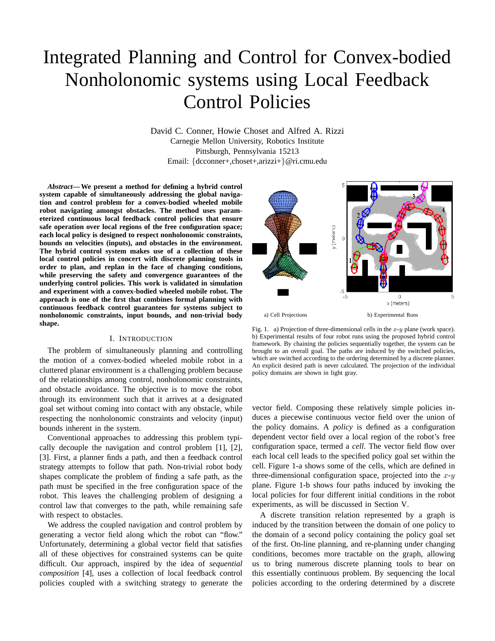# Integrated Planning and Control for Convex-bodied Nonholonomic systems using Local Feedback Control Policies

David C. Conner, Howie Choset and Alfred A. Rizzi Carnegie Mellon University, Robotics Institute Pittsburgh, Pennsylvania 15213 Email: {dcconner+,choset+,arizzi+}@ri.cmu.edu

*Abstract***— We present a method for defining a hybrid control system capable of simultaneously addressing the global navigation and control problem for a convex-bodied wheeled mobile robot navigating amongst obstacles. The method uses parameterized continuous local feedback control policies that ensure safe operation over local regions of the free configuration space; each local policy is designed to respect nonholonomic constraints, bounds on velocities (inputs), and obstacles in the environment. The hybrid control system makes use of a collection of these local control policies in concert with discrete planning tools in order to plan, and replan in the face of changing conditions, while preserving the safety and convergence guarantees of the underlying control policies. This work is validated in simulation and experiment with a convex-bodied wheeled mobile robot. The approach is one of the first that combines formal planning with continuous feedback control guarantees for systems subject to nonholonomic constraints, input bounds, and non-trivial body shape.**

## I. INTRODUCTION

The problem of simultaneously planning and controlling the motion of a convex-bodied wheeled mobile robot in a cluttered planar environment is a challenging problem because of the relationships among control, nonholonomic constraints, and obstacle avoidance. The objective is to move the robot through its environment such that it arrives at a designated goal set without coming into contact with any obstacle, while respecting the nonholonomic constraints and velocity (input) bounds inherent in the system.

Conventional approaches to addressing this problem typically decouple the navigation and control problem [1], [2], [3]. First, a planner finds a path, and then a feedback control strategy attempts to follow that path. Non-trivial robot body shapes complicate the problem of finding a safe path, as the path must be specified in the free configuration space of the robot. This leaves the challenging problem of designing a control law that converges to the path, while remaining safe with respect to obstacles.

We address the coupled navigation and control problem by generating a vector field along which the robot can "flow." Unfortunately, determining a global vector field that satisfies all of these objectives for constrained systems can be quite difficult. Our approach, inspired by the idea of *sequential composition* [4], uses a collection of local feedback control policies coupled with a switching strategy to generate the



Fig. 1. a) Projection of three-dimensional cells in the  $x-y$  plane (work space). b) Experimental results of four robot runs using the proposed hybrid control framework. By chaining the policies sequentially together, the system can be brought to an overall goal. The paths are induced by the switched policies, which are switched according to the ordering determined by a discrete planner. An explicit desired path is never calculated. The projection of the individual policy domains are shown in light gray.

vector field. Composing these relatively simple policies induces a piecewise continuous vector field over the union of the policy domains. A *policy* is defined as a configuration dependent vector field over a local region of the robot's free configuration space, termed a *cell*. The vector field flow over each local cell leads to the specified policy goal set within the cell. Figure 1-a shows some of the cells, which are defined in three-dimensional configuration space, projected into the  $x-y$ plane. Figure 1-b shows four paths induced by invoking the local policies for four different initial conditions in the robot experiments, as will be discussed in Section V.

A discrete transition relation represented by a graph is induced by the transition between the domain of one policy to the domain of a second policy containing the policy goal set of the first. On-line planning, and re-planning under changing conditions, becomes more tractable on the graph, allowing us to bring numerous discrete planning tools to bear on this essentially continuous problem. By sequencing the local policies according to the ordering determined by a discrete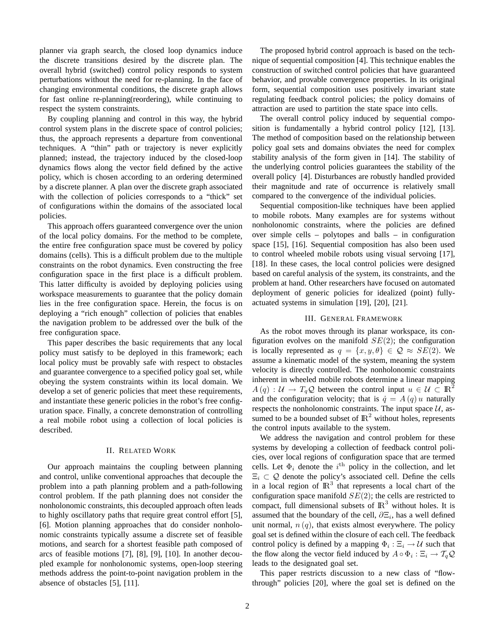planner via graph search, the closed loop dynamics induce the discrete transitions desired by the discrete plan. The overall hybrid (switched) control policy responds to system perturbations without the need for re-planning. In the face of changing environmental conditions, the discrete graph allows for fast online re-planning(reordering), while continuing to respect the system constraints.

By coupling planning and control in this way, the hybrid control system plans in the discrete space of control policies; thus, the approach represents a departure from conventional techniques. A "thin" path or trajectory is never explicitly planned; instead, the trajectory induced by the closed-loop dynamics flows along the vector field defined by the active policy, which is chosen according to an ordering determined by a discrete planner. A plan over the discrete graph associated with the collection of policies corresponds to a "thick" set of configurations within the domains of the associated local policies.

This approach offers guaranteed convergence over the union of the local policy domains. For the method to be complete, the entire free configuration space must be covered by policy domains (cells). This is a difficult problem due to the multiple constraints on the robot dynamics. Even constructing the free configuration space in the first place is a difficult problem. This latter difficulty is avoided by deploying policies using workspace measurements to guarantee that the policy domain lies in the free configuration space. Herein, the focus is on deploying a "rich enough" collection of policies that enables the navigation problem to be addressed over the bulk of the free configuration space.

This paper describes the basic requirements that any local policy must satisfy to be deployed in this framework; each local policy must be provably safe with respect to obstacles and guarantee convergence to a specified policy goal set, while obeying the system constraints within its local domain. We develop a set of generic policies that meet these requirements, and instantiate these generic policies in the robot's free configuration space. Finally, a concrete demonstration of controlling a real mobile robot using a collection of local policies is described.

## II. RELATED WORK

Our approach maintains the coupling between planning and control, unlike conventional approaches that decouple the problem into a path planning problem and a path-following control problem. If the path planning does not consider the nonholonomic constraints, this decoupled approach often leads to highly oscillatory paths that require great control effort [5], [6]. Motion planning approaches that do consider nonholonomic constraints typically assume a discrete set of feasible motions, and search for a shortest feasible path composed of arcs of feasible motions [7], [8], [9], [10]. In another decoupled example for nonholonomic systems, open-loop steering methods address the point-to-point navigation problem in the absence of obstacles [5], [11].

The proposed hybrid control approach is based on the technique of sequential composition [4]. This technique enables the construction of switched control policies that have guaranteed behavior, and provable convergence properties. In its original form, sequential composition uses positively invariant state regulating feedback control policies; the policy domains of attraction are used to partition the state space into cells.

The overall control policy induced by sequential composition is fundamentally a hybrid control policy [12], [13]. The method of composition based on the relationship between policy goal sets and domains obviates the need for complex stability analysis of the form given in [14]. The stability of the underlying control policies guarantees the stability of the overall policy [4]. Disturbances are robustly handled provided their magnitude and rate of occurrence is relatively small compared to the convergence of the individual policies.

Sequential composition-like techniques have been applied to mobile robots. Many examples are for systems without nonholonomic constraints, where the policies are defined over simple cells – polytopes and balls – in configuration space [15], [16]. Sequential composition has also been used to control wheeled mobile robots using visual servoing [17], [18]. In these cases, the local control policies were designed based on careful analysis of the system, its constraints, and the problem at hand. Other researchers have focused on automated deployment of generic policies for idealized (point) fullyactuated systems in simulation [19], [20], [21].

## III. GENERAL FRAMEWORK

As the robot moves through its planar workspace, its configuration evolves on the manifold  $SE(2)$ ; the configuration is locally represented as  $q = \{x, y, \theta\} \in \mathcal{Q} \approx SE(2)$ . We assume a kinematic model of the system, meaning the system velocity is directly controlled. The nonholonomic constraints inherent in wheeled mobile robots determine a linear mapping  $A(q): \mathcal{U} \to T_q\mathcal{Q}$  between the control input  $u \in \mathcal{U} \subset \mathbb{R}^2$ and the configuration velocity; that is  $\dot{q} = A(q)u$  naturally respects the nonholonomic constraints. The input space  $U$ , assumed to be a bounded subset of  $\mathbb{R}^2$  without holes, represents the control inputs available to the system.

We address the navigation and control problem for these systems by developing a collection of feedback control policies, over local regions of configuration space that are termed cells. Let  $\Phi_i$  denote the  $i^{\text{th}}$  policy in the collection, and let  $\Xi_i \subset \mathcal{Q}$  denote the policy's associated cell. Define the cells in a local region of  $\mathbb{R}^3$  that represents a local chart of the configuration space manifold  $SE(2)$ ; the cells are restricted to compact, full dimensional subsets of  $\mathbb{R}^3$  without holes. It is assumed that the boundary of the cell,  $\partial \Xi_i$ , has a well defined unit normal,  $n(q)$ , that exists almost everywhere. The policy goal set is defined within the closure of each cell. The feedback control policy is defined by a mapping  $\Phi_i : \Xi_i \to \mathcal{U}$  such that the flow along the vector field induced by  $A \circ \Phi_i : \Xi_i \to \mathcal{T}_q \mathcal{Q}$ leads to the designated goal set.

This paper restricts discussion to a new class of "flowthrough" policies [20], where the goal set is defined on the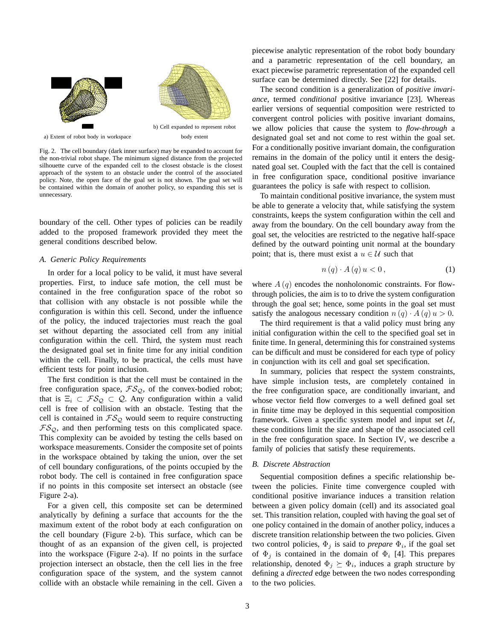

Fig. 2. The cell boundary (dark inner surface) may be expanded to account for the non-trivial robot shape. The minimum signed distance from the projected silhouette curve of the expanded cell to the closest obstacle is the closest approach of the system to an obstacle under the control of the associated policy. Note, the open face of the goal set is not shown. The goal set will be contained within the domain of another policy, so expanding this set is unnecessary.

boundary of the cell. Other types of policies can be readily added to the proposed framework provided they meet the general conditions described below.

#### *A. Generic Policy Requirements*

In order for a local policy to be valid, it must have several properties. First, to induce safe motion, the cell must be contained in the free configuration space of the robot so that collision with any obstacle is not possible while the configuration is within this cell. Second, under the influence of the policy, the induced trajectories must reach the goal set without departing the associated cell from any initial configuration within the cell. Third, the system must reach the designated goal set in finite time for any initial condition within the cell. Finally, to be practical, the cells must have efficient tests for point inclusion.

The first condition is that the cell must be contained in the free configuration space,  $FS_Q$ , of the convex-bodied robot; that is  $\Xi_i \subset \mathcal{FS}_{\Omega} \subset \mathcal{Q}$ . Any configuration within a valid cell is free of collision with an obstacle. Testing that the cell is contained in  $FS_Q$  would seem to require constructing  $FS_{\mathcal{Q}}$ , and then performing tests on this complicated space. This complexity can be avoided by testing the cells based on workspace measurements. Consider the composite set of points in the workspace obtained by taking the union, over the set of cell boundary configurations, of the points occupied by the robot body. The cell is contained in free configuration space if no points in this composite set intersect an obstacle (see Figure 2-a).

For a given cell, this composite set can be determined analytically by defining a surface that accounts for the the maximum extent of the robot body at each configuration on the cell boundary (Figure 2-b). This surface, which can be thought of as an expansion of the given cell, is projected into the workspace (Figure 2-a). If no points in the surface projection intersect an obstacle, then the cell lies in the free configuration space of the system, and the system cannot collide with an obstacle while remaining in the cell. Given a piecewise analytic representation of the robot body boundary and a parametric representation of the cell boundary, an exact piecewise parametric representation of the expanded cell surface can be determined directly. See [22] for details.

The second condition is a generalization of *positive invariance*, termed *conditional* positive invariance [23]. Whereas earlier versions of sequential composition were restricted to convergent control policies with positive invariant domains, we allow policies that cause the system to *flow-through* a designated goal set and not come to rest within the goal set. For a conditionally positive invariant domain, the configuration remains in the domain of the policy until it enters the designated goal set. Coupled with the fact that the cell is contained in free configuration space, conditional positive invariance guarantees the policy is safe with respect to collision.

To maintain conditional positive invariance, the system must be able to generate a velocity that, while satisfying the system constraints, keeps the system configuration within the cell and away from the boundary. On the cell boundary away from the goal set, the velocities are restricted to the negative half-space defined by the outward pointing unit normal at the boundary point; that is, there must exist a  $u \in \mathcal{U}$  such that

$$
n(q) \cdot A(q) u < 0,\tag{1}
$$

where  $A(q)$  encodes the nonholonomic constraints. For flowthrough policies, the aim is to to drive the system configuration through the goal set; hence, some points in the goal set must satisfy the analogous necessary condition  $n(q) \cdot A(q) u > 0$ .

The third requirement is that a valid policy must bring any initial configuration within the cell to the specified goal set in finite time. In general, determining this for constrained systems can be difficult and must be considered for each type of policy in conjunction with its cell and goal set specification.

In summary, policies that respect the system constraints, have simple inclusion tests, are completely contained in the free configuration space, are conditionally invariant, and whose vector field flow converges to a well defined goal set in finite time may be deployed in this sequential composition framework. Given a specific system model and input set  $U$ , these conditions limit the size and shape of the associated cell in the free configuration space. In Section IV, we describe a family of policies that satisfy these requirements.

#### *B. Discrete Abstraction*

Sequential composition defines a specific relationship between the policies. Finite time convergence coupled with conditional positive invariance induces a transition relation between a given policy domain (cell) and its associated goal set. This transition relation, coupled with having the goal set of one policy contained in the domain of another policy, induces a discrete transition relationship between the two policies. Given two control policies,  $\Phi_j$  is said to *prepare*  $\Phi_i$ , if the goal set of  $\Phi_i$  is contained in the domain of  $\Phi_i$  [4]. This prepares relationship, denoted  $\Phi_j \succeq \Phi_i$ , induces a graph structure by defining a *directed* edge between the two nodes corresponding to the two policies.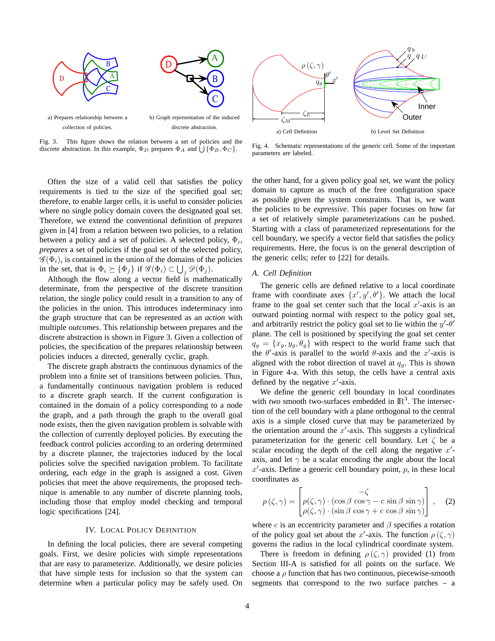

Fig. 3. This figure shows the relation between a set of policies and the discrete abstraction. In this example,  $\Phi_D$  prepares  $\Phi_A$  and  $\bigcup {\Phi_B, \Phi_C}$ .



Fig. 4. Schematic representations of the generic cell. Some of the important parameters are labeled.

Often the size of a valid cell that satisfies the policy requirements is tied to the size of the specified goal set; therefore, to enable larger cells, it is useful to consider policies where no single policy domain covers the designated goal set. Therefore, we extend the conventional definition of *prepares* given in [4] from a relation between two policies, to a relation between a policy and a set of policies. A selected policy,  $\Phi_i$ , *prepares* a set of policies if the goal set of the selected policy,  $\mathscr{G}(\Phi_i)$ , is contained in the union of the domains of the policies in the set, that is  $\Phi_i \succeq {\Phi_j}$  if  $\mathscr{G}(\Phi_i) \subset \bigcup_j \mathscr{D}(\Phi_j)$ .

Although the flow along a vector field is mathematically determinate, from the perspective of the discrete transition relation, the single policy could result in a transition to any of the policies in the union. This introduces indeterminacy into the graph structure that can be represented as an *action* with multiple *outcomes*. This relationship between prepares and the discrete abstraction is shown in Figure 3. Given a collection of policies, the specification of the prepares relationship between policies induces a directed, generally cyclic, graph.

The discrete graph abstracts the continuous dynamics of the problem into a finite set of transitions between policies. Thus, a fundamentally continuous navigation problem is reduced to a discrete graph search. If the current configuration is contained in the domain of a policy corresponding to a node the graph, and a path through the graph to the overall goal node exists, then the given navigation problem is solvable with the collection of currently deployed policies. By executing the feedback control policies according to an ordering determined by a discrete planner, the trajectories induced by the local policies solve the specified navigation problem. To facilitate ordering, each edge in the graph is assigned a cost. Given policies that meet the above requirements, the proposed technique is amenable to any number of discrete planning tools, including those that employ model checking and temporal logic specifications [24].

## IV. LOCAL POLICY DEFINITION

In defining the local policies, there are several competing goals. First, we desire policies with simple representations that are easy to parameterize. Additionally, we desire policies that have simple tests for inclusion so that the system can determine when a particular policy may be safely used. On the other hand, for a given policy goal set, we want the policy domain to capture as much of the free configuration space as possible given the system constraints. That is, we want the policies to be *expressive*. This paper focuses on how far a set of relatively simple parameterizations can be pushed. Starting with a class of parameterized representations for the cell boundary, we specify a vector field that satisfies the policy requirements. Here, the focus is on the general description of the generic cells; refer to [22] for details.

## *A. Cell Definition*

The generic cells are defined relative to a local coordinate frame with coordinate axes  $\{x', y', \theta'\}$ . We attach the local frame to the goal set center such that the local  $x'$ -axis is an outward pointing normal with respect to the policy goal set, and arbitrarily restrict the policy goal set to lie within the  $y'$ - $\theta'$ plane. The cell is positioned by specifying the goal set center  $q_g = \{x_g, y_g, \theta_g\}$  with respect to the world frame such that the  $\theta'$ -axis is parallel to the world  $\theta$ -axis and the x'-axis is aligned with the robot direction of travel at  $q<sub>g</sub>$ . This is shown in Figure 4-a. With this setup, the cells have a central axis defined by the negative  $x'$ -axis.

We define the generic cell boundary in local coordinates with *two* smooth two-surfaces embedded in  $\mathbb{R}^3$ . The intersection of the cell boundary with a plane orthogonal to the central axis is a simple closed curve that may be parameterized by the orientation around the  $x'$ -axis. This suggests a cylindrical parameterization for the generic cell boundary. Let  $\zeta$  be a scalar encoding the depth of the cell along the negative  $x'$ axis, and let  $\gamma$  be a scalar encoding the angle about the local  $x'$ -axis. Define a generic cell boundary point,  $p$ , in these local coordinates as

$$
p(\zeta, \gamma) = \begin{bmatrix} -\zeta \\ \rho(\zeta, \gamma) \cdot (\cos \beta \cos \gamma - c \sin \beta \sin \gamma) \\ \rho(\zeta, \gamma) \cdot (\sin \beta \cos \gamma + c \cos \beta \sin \gamma) \end{bmatrix}, \quad (2)
$$

where c is an eccentricity parameter and  $\beta$  specifies a rotation of the policy goal set about the x'-axis. The function  $\rho(\zeta, \gamma)$ governs the radius in the local cylindrical coordinate system.

There is freedom in defining  $\rho(\zeta, \gamma)$  provided (1) from Section III-A is satisfied for all points on the surface. We choose a  $\rho$  function that has two continuous, piecewise-smooth segments that correspond to the two surface patches – a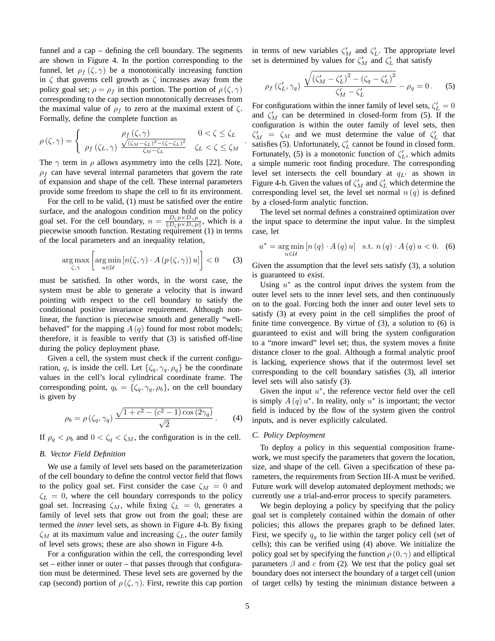funnel and a cap – defining the cell boundary. The segments are shown in Figure 4. In the portion corresponding to the funnel, let  $\rho_f(\zeta, \gamma)$  be a monotonically increasing function in  $\zeta$  that governs cell growth as  $\zeta$  increases away from the policy goal set;  $\rho = \rho_f$  in this portion. The portion of  $\rho(\zeta, \gamma)$ corresponding to the cap section monotonically decreases from the maximal value of  $\rho_f$  to zero at the maximal extent of  $\zeta$ . Formally, define the complete function as

$$
\rho(\zeta,\gamma) = \begin{cases}\n\rho_f(\zeta,\gamma) & 0 < \zeta \le \zeta_L \\
\rho_f(\zeta_L,\gamma) & \frac{\sqrt{(\zeta_M - \zeta_L)^2 - (\zeta - \zeta_L)^2}}{\zeta_M - \zeta_L} & \zeta_L < \zeta \le \zeta_M\n\end{cases}
$$

The  $\gamma$  term in  $\rho$  allows asymmetry into the cells [22]. Note,  $\rho_f$  can have several internal parameters that govern the rate of expansion and shape of the cell. These internal parameters provide some freedom to shape the cell to fit its environment.

For the cell to be valid, (1) must be satisfied over the entire surface, and the analogous condition must hold on the policy goal set. For the cell boundary,  $n = \frac{D_{\zeta} p \times D_{\gamma} p}{\|D_{\zeta} p \times D_{\gamma} p\|}$  $\frac{D_{\zeta} p \times D_{\gamma} p}{\|D_{\zeta} p \times D_{\gamma} p\|}$ , which is a piecewise smooth function. Restating requirement (1) in terms of the local parameters and an inequality relation,

$$
\underset{\zeta,\gamma}{\arg\max} \left[ \underset{u\in\mathcal{U}}{\arg\min} \left[ n(\zeta,\gamma) \cdot A\left(p\left(\zeta,\gamma\right)\right)u \right] \right] < 0 \qquad (3)
$$

must be satisfied. In other words, in the worst case, the system must be able to generate a velocity that is inward pointing with respect to the cell boundary to satisfy the conditional positive invariance requirement. Although nonlinear, the function is piecewise smooth and generally "wellbehaved" for the mapping  $A(q)$  found for most robot models; therefore, it is feasible to verify that (3) is satisfied off-line during the policy deployment phase.

Given a cell, the system must check if the current configuration, q, is inside the cell. Let  $\{\zeta_q, \gamma_q, \rho_q\}$  be the coordinate values in the cell's local cylindrical coordinate frame. The corresponding point,  $q_b = \{\zeta_q, \gamma_q, \rho_b\}$ , on the cell boundary is given by

$$
\rho_b = \rho \left( \zeta_q, \gamma_q \right) \frac{\sqrt{1 + c^2 - (c^2 - 1) \cos(2\gamma_q)}}{\sqrt{2}}.
$$
 (4)

If  $\rho_q < \rho_b$  and  $0 < \zeta_q < \zeta_M$ , the configuration is in the cell.

## *B. Vector Field Definition*

We use a family of level sets based on the parameterization of the cell boundary to define the control vector field that flows to the policy goal set. First consider the case  $\zeta_M = 0$  and  $\zeta_L = 0$ , where the cell boundary corresponds to the policy goal set. Increasing  $\zeta_M$ , while fixing  $\zeta_L = 0$ , generates a family of level sets that grow out from the goal; these are termed the *inner* level sets, as shown in Figure 4-b. By fixing  $\zeta_M$  at its maximum value and increasing  $\zeta_L$ , the *outer* family of level sets grows; these are also shown in Figure 4-b.

For a configuration within the cell, the corresponding level set – either inner or outer – that passes through that configuration must be determined. These level sets are governed by the cap (second) portion of  $\rho(\zeta, \gamma)$ . First, rewrite this cap portion in terms of new variables  $\zeta_M'$  and  $\zeta_L'$ . The appropriate level set is determined by values for  $\zeta_M'$  and  $\zeta_L'$  that satisfy

$$
\rho_f(\zeta_L', \gamma_q) \frac{\sqrt{(\zeta_M' - \zeta_L')^2 - (\zeta_q - \zeta_L')^2}}{\zeta_M' - \zeta_L'} - \rho_q = 0. \quad (5)
$$

For configurations within the inner family of level sets,  $\zeta_L' = 0$ and  $\zeta_M'$  can be determined in closed-form from (5). If the configuration is within the outer family of level sets, then  $\zeta_M' = \zeta_M$  and we must determine the value of  $\zeta_L'$  that satisfies (5). Unfortunately,  $\zeta_L'$  cannot be found in closed form. Fortunately, (5) is a monotonic function of  $\zeta_L'$ , which admits a simple numeric root finding procedure. The corresponding level set intersects the cell boundary at  $q_{L'}$  as shown in Figure 4-b. Given the values of  $\zeta_M'$  and  $\zeta_L'$  which determine the corresponding level set, the level set normal  $n(q)$  is defined by a closed-form analytic function.

The level set normal defines a constrained optimization over the input space to determine the input value. In the simplest case, let

$$
u^* = \underset{u \in \mathcal{U}}{\arg \min} \left[ n \left( q \right) \cdot A \left( q \right) u \right] \text{ s.t. } n \left( q \right) \cdot A \left( q \right) u < 0. \tag{6}
$$

Given the assumption that the level sets satisfy (3), a solution is guaranteed to exist.

Using  $u^*$  as the control input drives the system from the outer level sets to the inner level sets, and then continuously on to the goal. Forcing both the inner and outer level sets to satisfy (3) at every point in the cell simplifies the proof of finite time convergence. By virtue of  $(3)$ , a solution to  $(6)$  is guaranteed to exist and will bring the system configuration to a "more inward" level set; thus, the system moves a finite distance closer to the goal. Although a formal analytic proof is lacking, experience shows that if the outermost level set corresponding to the cell boundary satisfies (3), all interior level sets will also satisfy (3).

Given the input  $u^*$ , the reference vector field over the cell is simply  $A(q)$  u<sup>\*</sup>. In reality, only  $u^*$  is important; the vector field is induced by the flow of the system given the control inputs, and is never explicitly calculated.

# *C. Policy Deployment*

To deploy a policy in this sequential composition framework, we must specify the parameters that govern the location, size, and shape of the cell. Given a specification of these parameters, the requirements from Section III-A must be verified. Future work will develop automated deployment methods; we currently use a trial-and-error process to specify parameters.

We begin deploying a policy by specifying that the policy goal set is completely contained within the domain of other policies; this allows the prepares graph to be defined later. First, we specify  $q<sub>g</sub>$  to lie within the target policy cell (set of cells); this can be verified using (4) above. We initialize the policy goal set by specifying the function  $\rho(0, \gamma)$  and elliptical parameters  $\beta$  and c from (2). We test that the policy goal set boundary does not intersect the boundary of a target cell (union of target cells) by testing the minimum distance between a

.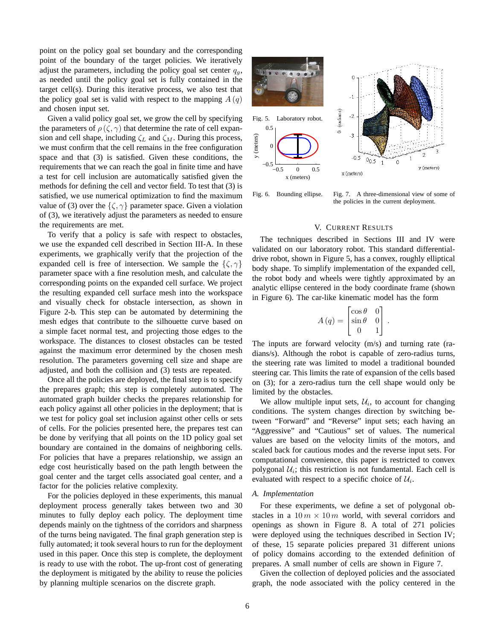point on the policy goal set boundary and the corresponding point of the boundary of the target policies. We iteratively adjust the parameters, including the policy goal set center  $q_{q}$ , as needed until the policy goal set is fully contained in the target cell(s). During this iterative process, we also test that the policy goal set is valid with respect to the mapping  $A(q)$ and chosen input set.

Given a valid policy goal set, we grow the cell by specifying the parameters of  $\rho(\zeta, \gamma)$  that determine the rate of cell expansion and cell shape, including  $\zeta_L$  and  $\zeta_M$ . During this process, we must confirm that the cell remains in the free configuration space and that (3) is satisfied. Given these conditions, the requirements that we can reach the goal in finite time and have a test for cell inclusion are automatically satisfied given the methods for defining the cell and vector field. To test that (3) is satisfied, we use numerical optimization to find the maximum value of (3) over the  $\{\zeta, \gamma\}$  parameter space. Given a violation of (3), we iteratively adjust the parameters as needed to ensure the requirements are met.

To verify that a policy is safe with respect to obstacles, we use the expanded cell described in Section III-A. In these experiments, we graphically verify that the projection of the expanded cell is free of intersection. We sample the  $\{\zeta, \gamma\}$ parameter space with a fine resolution mesh, and calculate the corresponding points on the expanded cell surface. We project the resulting expanded cell surface mesh into the workspace and visually check for obstacle intersection, as shown in Figure 2-b. This step can be automated by determining the mesh edges that contribute to the silhouette curve based on a simple facet normal test, and projecting those edges to the workspace. The distances to closest obstacles can be tested against the maximum error determined by the chosen mesh resolution. The parameters governing cell size and shape are adjusted, and both the collision and (3) tests are repeated.

Once all the policies are deployed, the final step is to specify the prepares graph; this step is completely automated. The automated graph builder checks the prepares relationship for each policy against all other policies in the deployment; that is we test for policy goal set inclusion against other cells or sets of cells. For the policies presented here, the prepares test can be done by verifying that all points on the 1D policy goal set boundary are contained in the domains of neighboring cells. For policies that have a prepares relationship, we assign an edge cost heuristically based on the path length between the goal center and the target cells associated goal center, and a factor for the policies relative complexity.

For the policies deployed in these experiments, this manual deployment process generally takes between two and 30 minutes to fully deploy each policy. The deployment time depends mainly on the tightness of the corridors and sharpness of the turns being navigated. The final graph generation step is fully automated; it took several hours to run for the deployment used in this paper. Once this step is complete, the deployment is ready to use with the robot. The up-front cost of generating the deployment is mitigated by the ability to reuse the policies by planning multiple scenarios on the discrete graph.



Fig. 6. Bounding ellipse. Fig. 7. A three-dimensional view of some of the policies in the current deployment.

# V. CURRENT RESULTS

The techniques described in Sections III and IV were validated on our laboratory robot. This standard differentialdrive robot, shown in Figure 5, has a convex, roughly elliptical body shape. To simplify implementation of the expanded cell, the robot body and wheels were tightly approximated by an analytic ellipse centered in the body coordinate frame (shown in Figure 6). The car-like kinematic model has the form

$$
A(q) = \begin{bmatrix} \cos \theta & 0 \\ \sin \theta & 0 \\ 0 & 1 \end{bmatrix}.
$$

The inputs are forward velocity (m/s) and turning rate (radians/s). Although the robot is capable of zero-radius turns, the steering rate was limited to model a traditional bounded steering car. This limits the rate of expansion of the cells based on (3); for a zero-radius turn the cell shape would only be limited by the obstacles.

We allow multiple input sets,  $U_i$ , to account for changing conditions. The system changes direction by switching between "Forward" and "Reverse" input sets; each having an "Aggressive" and "Cautious" set of values. The numerical values are based on the velocity limits of the motors, and scaled back for cautious modes and the reverse input sets. For computational convenience, this paper is restricted to convex polygonal  $U_i$ ; this restriction is not fundamental. Each cell is evaluated with respect to a specific choice of  $\mathcal{U}_i$ .

# *A. Implementation*

For these experiments, we define a set of polygonal obstacles in a  $10 m \times 10 m$  world, with several corridors and openings as shown in Figure 8. A total of 271 policies were deployed using the techniques described in Section IV; of these, 15 separate policies prepared 31 different unions of policy domains according to the extended definition of prepares. A small number of cells are shown in Figure 7.

Given the collection of deployed policies and the associated graph, the node associated with the policy centered in the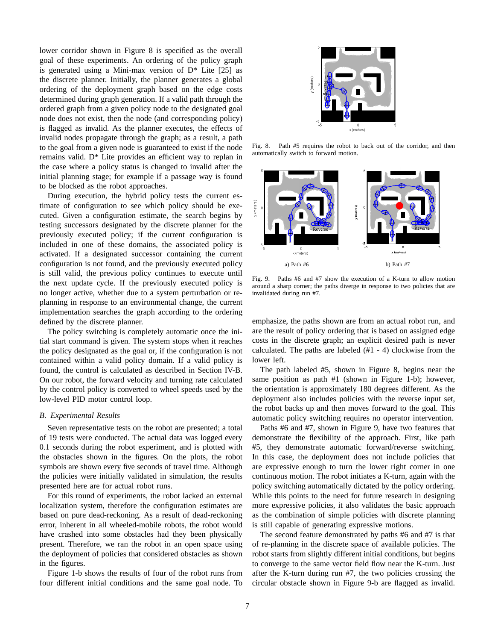lower corridor shown in Figure 8 is specified as the overall goal of these experiments. An ordering of the policy graph is generated using a Mini-max version of  $D^*$  Lite [25] as the discrete planner. Initially, the planner generates a global ordering of the deployment graph based on the edge costs determined during graph generation. If a valid path through the ordered graph from a given policy node to the designated goal node does not exist, then the node (and corresponding policy) is flagged as invalid. As the planner executes, the effects of invalid nodes propagate through the graph; as a result, a path to the goal from a given node is guaranteed to exist if the node remains valid. D\* Lite provides an efficient way to replan in the case where a policy status is changed to invalid after the initial planning stage; for example if a passage way is found to be blocked as the robot approaches.

During execution, the hybrid policy tests the current estimate of configuration to see which policy should be executed. Given a configuration estimate, the search begins by testing successors designated by the discrete planner for the previously executed policy; if the current configuration is included in one of these domains, the associated policy is activated. If a designated successor containing the current configuration is not found, and the previously executed policy is still valid, the previous policy continues to execute until the next update cycle. If the previously executed policy is no longer active, whether due to a system perturbation or replanning in response to an environmental change, the current implementation searches the graph according to the ordering defined by the discrete planner.

The policy switching is completely automatic once the initial start command is given. The system stops when it reaches the policy designated as the goal or, if the configuration is not contained within a valid policy domain. If a valid policy is found, the control is calculated as described in Section IV-B. On our robot, the forward velocity and turning rate calculated by the control policy is converted to wheel speeds used by the low-level PID motor control loop.

#### *B. Experimental Results*

Seven representative tests on the robot are presented; a total of 19 tests were conducted. The actual data was logged every 0.1 seconds during the robot experiment, and is plotted with the obstacles shown in the figures. On the plots, the robot symbols are shown every five seconds of travel time. Although the policies were initially validated in simulation, the results presented here are for actual robot runs.

For this round of experiments, the robot lacked an external localization system, therefore the configuration estimates are based on pure dead-reckoning. As a result of dead-reckoning error, inherent in all wheeled-mobile robots, the robot would have crashed into some obstacles had they been physically present. Therefore, we ran the robot in an open space using the deployment of policies that considered obstacles as shown in the figures.

Figure 1-b shows the results of four of the robot runs from four different initial conditions and the same goal node. To



Fig. 8. Path #5 requires the robot to back out of the corridor, and then automatically switch to forward motion.



Fig. 9. Paths #6 and #7 show the execution of a K-turn to allow motion around a sharp corner; the paths diverge in response to two policies that are invalidated during run #7.

emphasize, the paths shown are from an actual robot run, and are the result of policy ordering that is based on assigned edge costs in the discrete graph; an explicit desired path is never calculated. The paths are labeled (#1 - 4) clockwise from the lower left.

The path labeled #5, shown in Figure 8, begins near the same position as path #1 (shown in Figure 1-b); however, the orientation is approximately 180 degrees different. As the deployment also includes policies with the reverse input set, the robot backs up and then moves forward to the goal. This automatic policy switching requires no operator intervention.

Paths #6 and #7, shown in Figure 9, have two features that demonstrate the flexibility of the approach. First, like path #5, they demonstrate automatic forward/reverse switching. In this case, the deployment does not include policies that are expressive enough to turn the lower right corner in one continuous motion. The robot initiates a K-turn, again with the policy switching automatically dictated by the policy ordering. While this points to the need for future research in designing more expressive policies, it also validates the basic approach as the combination of simple policies with discrete planning is still capable of generating expressive motions.

The second feature demonstrated by paths #6 and #7 is that of re-planning in the discrete space of available policies. The robot starts from slightly different initial conditions, but begins to converge to the same vector field flow near the K-turn. Just after the K-turn during run #7, the two policies crossing the circular obstacle shown in Figure 9-b are flagged as invalid.